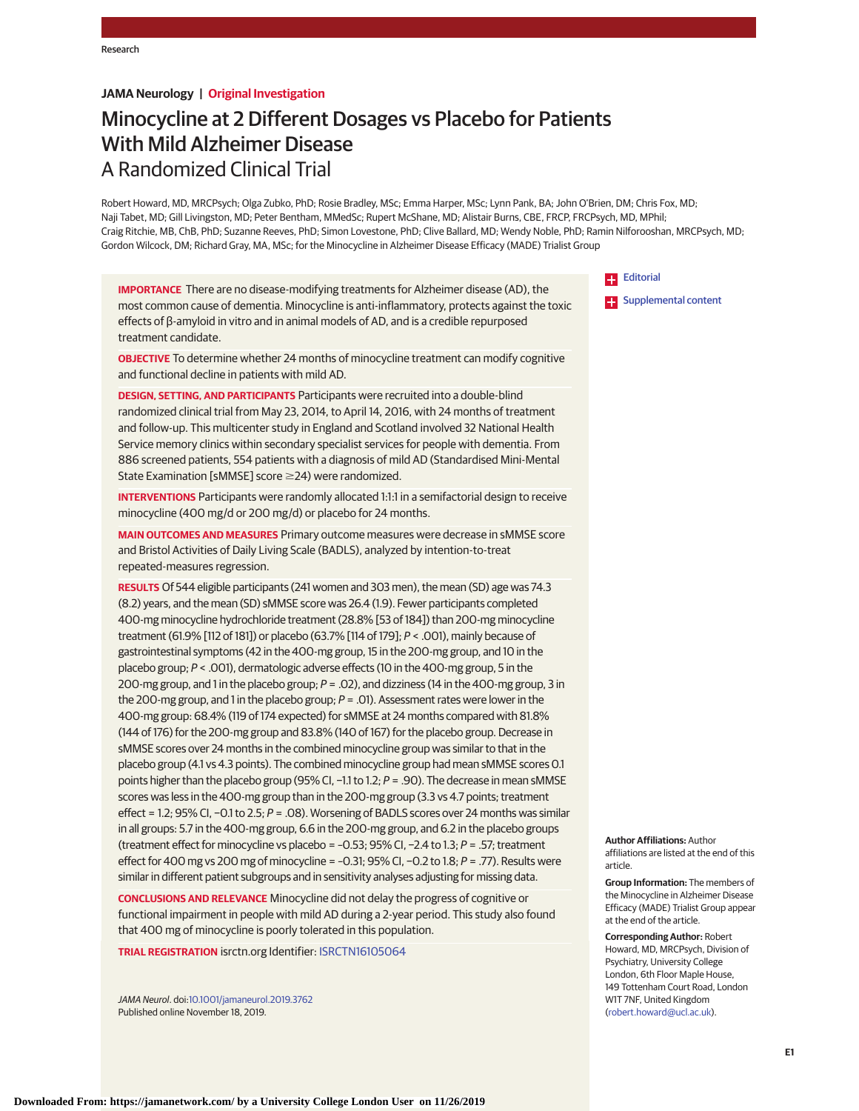# **JAMA Neurology | Original Investigation**

# Minocycline at 2 Different Dosages vs Placebo for Patients With Mild Alzheimer Disease A Randomized Clinical Trial

Robert Howard, MD, MRCPsych; Olga Zubko, PhD; Rosie Bradley, MSc; Emma Harper, MSc; Lynn Pank, BA; John O'Brien, DM; Chris Fox, MD; Naji Tabet, MD; Gill Livingston, MD; Peter Bentham, MMedSc; Rupert McShane, MD; Alistair Burns, CBE, FRCP, FRCPsych, MD, MPhil; Craig Ritchie, MB, ChB, PhD; Suzanne Reeves, PhD; Simon Lovestone, PhD; Clive Ballard, MD; Wendy Noble, PhD; Ramin Nilforooshan, MRCPsych, MD; Gordon Wilcock, DM; Richard Gray, MA, MSc; for the Minocycline in Alzheimer Disease Efficacy (MADE) Trialist Group

**IMPORTANCE** There are no disease-modifying treatments for Alzheimer disease (AD), the most common cause of dementia. Minocycline is anti-inflammatory, protects against the toxic effects of β-amyloid in vitro and in animal models of AD, and is a credible repurposed treatment candidate.

**OBJECTIVE** To determine whether 24 months of minocycline treatment can modify cognitive and functional decline in patients with mild AD.

**DESIGN, SETTING, AND PARTICIPANTS** Participants were recruited into a double-blind randomized clinical trial from May 23, 2014, to April 14, 2016, with 24 months of treatment and follow-up. This multicenter study in England and Scotland involved 32 National Health Service memory clinics within secondary specialist services for people with dementia. From 886 screened patients, 554 patients with a diagnosis of mild AD (Standardised Mini-Mental State Examination [sMMSE] score ≥24) were randomized.

**INTERVENTIONS** Participants were randomly allocated 1:1:1 in a semifactorial design to receive minocycline (400 mg/d or 200 mg/d) or placebo for 24 months.

**MAIN OUTCOMES AND MEASURES** Primary outcome measures were decrease in sMMSE score and Bristol Activities of Daily Living Scale (BADLS), analyzed by intention-to-treat repeated-measures regression.

**RESULTS** Of 544 eligible participants (241 women and 303 men), the mean (SD) age was 74.3 (8.2) years, and the mean (SD) sMMSE score was 26.4 (1.9). Fewer participants completed 400-mg minocycline hydrochloride treatment (28.8% [53 of 184]) than 200-mg minocycline treatment (61.9% [112 of 181]) or placebo (63.7% [114 of 179]; P < .001), mainly because of gastrointestinal symptoms (42 in the 400-mg group, 15 in the 200-mg group, and 10 in the placebo group; P < .001), dermatologic adverse effects (10 in the 400-mg group, 5 in the 200-mg group, and 1 in the placebo group;  $P = .02$ ), and dizziness (14 in the 400-mg group, 3 in the 200-mg group, and 1 in the placebo group;  $P = .01$ ). Assessment rates were lower in the 400-mg group: 68.4% (119 of 174 expected) for sMMSE at 24 months compared with 81.8% (144 of 176) for the 200-mg group and 83.8% (140 of 167) for the placebo group. Decrease in sMMSE scores over 24 months in the combined minocycline group was similar to that in the placebo group (4.1 vs 4.3 points). The combined minocycline group had mean sMMSE scores 0.1 points higher than the placebo group (95% CI, -1.1 to 1.2; P = .90). The decrease in mean sMMSE scores was less in the 400-mg group than in the 200-mg group (3.3 vs 4.7 points; treatment effect = 1.2; 95% CI, −0.1 to 2.5; P = .08). Worsening of BADLS scores over 24 months was similar in all groups: 5.7 in the 400-mg group, 6.6 in the 200-mg group, and 6.2 in the placebo groups (treatment effect for minocycline vs placebo = –0.53; 95% CI, −2.4 to 1.3; P = .57; treatment effect for 400 mg vs 200 mg of minocycline = –0.31; 95% CI, −0.2 to 1.8; P = .77). Results were similar in different patient subgroups and in sensitivity analyses adjusting for missing data.

**CONCLUSIONS AND RELEVANCE** Minocycline did not delay the progress of cognitive or functional impairment in people with mild AD during a 2-year period. This study also found that 400 mg of minocycline is poorly tolerated in this population.

**TRIAL REGISTRATION** isrctn.org Identifier: [ISRCTN16105064](https://doi.org/10.1186/ISRCTN16105064)

JAMA Neurol. doi[:10.1001/jamaneurol.2019.3762](https://jamanetwork.com/journals/jama/fullarticle/10.1001/jamaneurol.2019.3762?utm_campaign=articlePDF%26utm_medium=articlePDFlink%26utm_source=articlePDF%26utm_content=jamaneurol.2019.3762) Published online November 18, 2019.

**[Editorial](https://jamanetwork.com/journals/jama/fullarticle/10.1001/jamaneurol.2019.3784?utm_campaign=articlePDF%26utm_medium=articlePDFlink%26utm_source=articlePDF%26utm_content=jamaneurol.2019.3762)** 

**Examplemental content** 

**Author Affiliations:** Author affiliations are listed at the end of this article.

**Group Information:** The members of the Minocycline in Alzheimer Disease Efficacy (MADE) Trialist Group appear at the end of the article.

**Corresponding Author:** Robert Howard, MD, MRCPsych, Division of Psychiatry, University College London, 6th Floor Maple House, 149 Tottenham Court Road, London W1T 7NF, United Kingdom [\(robert.howard@ucl.ac.uk\)](mailto:robert.howard@ucl.ac.uk).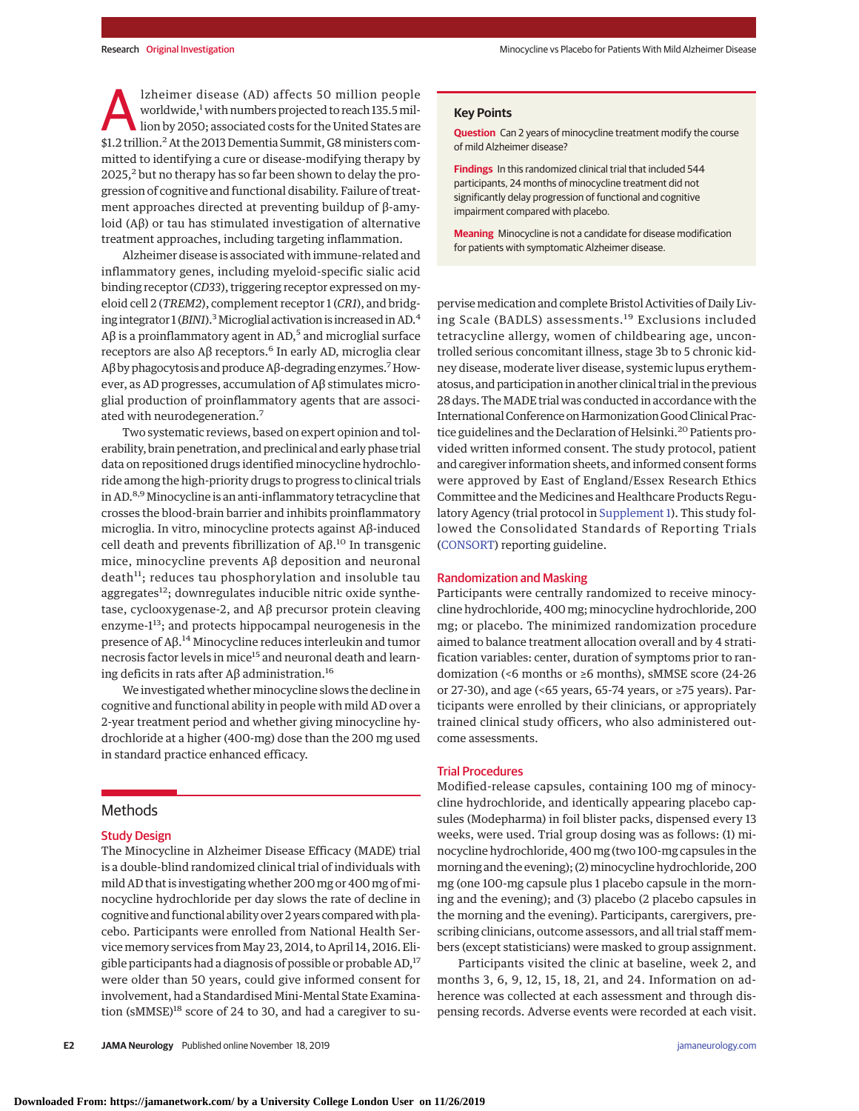lzheimer disease (AD) affects 50 million people worldwide,<sup>1</sup> with numbers projected to reach 135.5 million by 2050; associated costs for the United States are \$1.2 trillion.2At the 2013 Dementia Summit, G8ministers committed to identifying a cure or disease-modifying therapy by  $2025$ ,<sup>2</sup> but no therapy has so far been shown to delay the progression of cognitive and functional disability. Failure of treatment approaches directed at preventing buildup of β-amyloid (Aβ) or tau has stimulated investigation of alternative treatment approaches, including targeting inflammation.

Alzheimer disease is associated with immune-related and inflammatory genes, including myeloid-specific sialic acid binding receptor (*CD33*), triggering receptor expressed on myeloid cell 2 (*TREM2*), complement receptor 1 (*CR1*), and bridging integrator 1 (*BIN1*).<sup>3</sup> Microglial activation is increased in AD.<sup>4</sup> Aβ is a proinflammatory agent in AD,<sup>5</sup> and microglial surface receptors are also  $A\beta$  receptors.<sup>6</sup> In early AD, microglia clear Aβ by phagocytosis and produce Aβ-degrading enzymes.<sup>7</sup> However, as AD progresses, accumulation of Aβ stimulates microglial production of proinflammatory agents that are associated with neurodegeneration.<sup>7</sup>

Two systematic reviews, based on expert opinion and tolerability, brain penetration, and preclinical and early phase trial data on repositioned drugs identified minocycline hydrochloride among the high-priority drugs to progress to clinical trials in AD.<sup>8,9</sup> Minocycline is an anti-inflammatory tetracycline that crosses the blood-brain barrier and inhibits proinflammatory microglia. In vitro, minocycline protects against Aβ-induced cell death and prevents fibrillization of  $Aβ$ <sup>10</sup> In transgenic mice, minocycline prevents Aβ deposition and neuronal death<sup>11</sup>; reduces tau phosphorylation and insoluble tau aggregates<sup>12</sup>; downregulates inducible nitric oxide synthetase, cyclooxygenase-2, and Aβ precursor protein cleaving enzyme-113; and protects hippocampal neurogenesis in the presence of Aβ.<sup>14</sup> Minocycline reduces interleukin and tumor necrosis factor levels in mice<sup>15</sup> and neuronal death and learning deficits in rats after  $Aβ$  administration.<sup>16</sup>

We investigated whether minocycline slows the decline in cognitive and functional ability in people with mild AD over a 2-year treatment period and whether giving minocycline hydrochloride at a higher (400-mg) dose than the 200 mg used in standard practice enhanced efficacy.

# Methods

#### Study Design

The Minocycline in Alzheimer Disease Efficacy (MADE) trial is a double-blind randomized clinical trial of individuals with mild AD that is investigating whether 200 mg or 400 mg of minocycline hydrochloride per day slows the rate of decline in cognitive and functional ability over 2 years comparedwith placebo. Participants were enrolled from National Health Service memory services from May 23, 2014, to April 14, 2016. Eligible participants had a diagnosis of possible or probable AD,<sup>17</sup> were older than 50 years, could give informed consent for involvement, had a Standardised Mini-Mental State Examination ( $sMMSE$ )<sup>18</sup> score of 24 to 30, and had a caregiver to su-

## **Key Points**

**Question** Can 2 years of minocycline treatment modify the course of mild Alzheimer disease?

**Findings** In this randomized clinical trial that included 544 participants, 24 months of minocycline treatment did not significantly delay progression of functional and cognitive impairment compared with placebo.

**Meaning** Minocycline is not a candidate for disease modification for patients with symptomatic Alzheimer disease.

pervisemedication and complete Bristol Activities of Daily Living Scale (BADLS) assessments.<sup>19</sup> Exclusions included tetracycline allergy, women of childbearing age, uncontrolled serious concomitant illness, stage 3b to 5 chronic kidney disease, moderate liver disease, systemic lupus erythematosus, and participation in another clinical trial in the previous 28 days. TheMADE trial was conducted in accordance with the International Conference on Harmonization Good Clinical Practice guidelines and the Declaration of Helsinki.<sup>20</sup> Patients provided written informed consent. The study protocol, patient and caregiver information sheets, and informed consent forms were approved by East of England/Essex Research Ethics Committee and the Medicines and Healthcare Products Regulatory Agency (trial protocol in [Supplement 1\)](https://jamanetwork.com/journals/jama/fullarticle/10.1001/jamaneurol.2019.3762?utm_campaign=articlePDF%26utm_medium=articlePDFlink%26utm_source=articlePDF%26utm_content=jamaneurol.2019.3762). This study followed the Consolidated Standards of Reporting Trials [\(CONSORT\)](http://www.equator-network.org/reporting-guidelines/consort/) reporting guideline.

### Randomization and Masking

Participants were centrally randomized to receive minocycline hydrochloride, 400 mg; minocycline hydrochloride, 200 mg; or placebo. The minimized randomization procedure aimed to balance treatment allocation overall and by 4 stratification variables: center, duration of symptoms prior to randomization (<6 months or ≥6 months), sMMSE score (24-26 or 27-30), and age (<65 years, 65-74 years, or ≥75 years). Participants were enrolled by their clinicians, or appropriately trained clinical study officers, who also administered outcome assessments.

## Trial Procedures

Modified-release capsules, containing 100 mg of minocycline hydrochloride, and identically appearing placebo capsules (Modepharma) in foil blister packs, dispensed every 13 weeks, were used. Trial group dosing was as follows: (1) minocycline hydrochloride, 400 mg (two 100-mg capsules in the morning and the evening); (2) minocycline hydrochloride, 200 mg (one 100-mg capsule plus 1 placebo capsule in the morning and the evening); and (3) placebo (2 placebo capsules in the morning and the evening). Participants, carergivers, prescribing clinicians, outcome assessors, and all trial staff members (except statisticians) were masked to group assignment.

Participants visited the clinic at baseline, week 2, and months 3, 6, 9, 12, 15, 18, 21, and 24. Information on adherence was collected at each assessment and through dispensing records. Adverse events were recorded at each visit.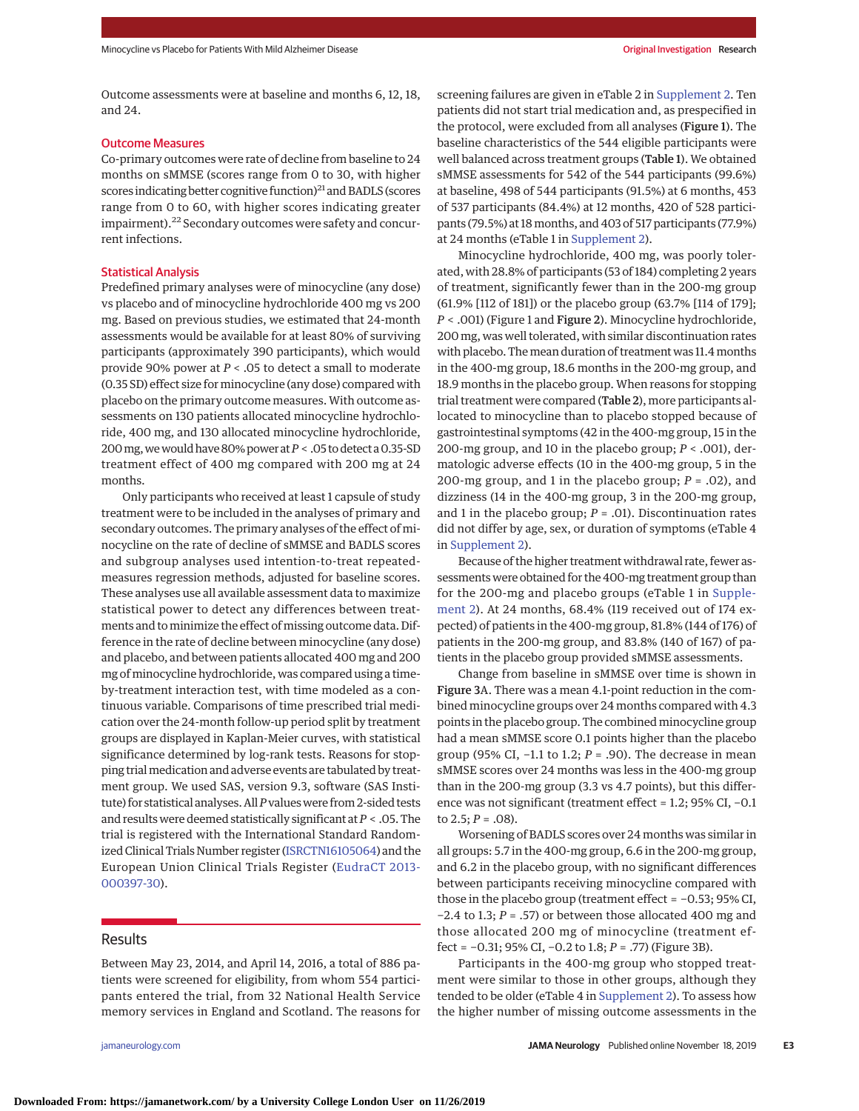Outcome assessments were at baseline and months 6, 12, 18, and 24.

#### Outcome Measures

Co-primary outcomes were rate of decline from baseline to 24 months on sMMSE (scores range from 0 to 30, with higher scores indicating better cognitive function)<sup>21</sup> and BADLS (scores range from 0 to 60, with higher scores indicating greater impairment).<sup>22</sup> Secondary outcomes were safety and concurrent infections.

#### Statistical Analysis

Predefined primary analyses were of minocycline (any dose) vs placebo and of minocycline hydrochloride 400 mg vs 200 mg. Based on previous studies, we estimated that 24-month assessments would be available for at least 80% of surviving participants (approximately 390 participants), which would provide 90% power at *P* < .05 to detect a small to moderate (0.35 SD) effect size for minocycline (any dose) compared with placebo on the primary outcome measures. With outcome assessments on 130 patients allocated minocycline hydrochloride, 400 mg, and 130 allocated minocycline hydrochloride, 200 mg, we would have 80% power at *P* < .05 to detect a 0.35-SD treatment effect of 400 mg compared with 200 mg at 24 months.

Only participants who received at least 1 capsule of study treatment were to be included in the analyses of primary and secondary outcomes. The primary analyses of the effect of minocycline on the rate of decline of sMMSE and BADLS scores and subgroup analyses used intention-to-treat repeatedmeasures regression methods, adjusted for baseline scores. These analyses use all available assessment data to maximize statistical power to detect any differences between treatments and to minimize the effect of missing outcome data. Difference in the rate of decline between minocycline (any dose) and placebo, and between patients allocated 400 mg and 200 mg of minocycline hydrochloride, was compared using a timeby-treatment interaction test, with time modeled as a continuous variable. Comparisons of time prescribed trial medication over the 24-month follow-up period split by treatment groups are displayed in Kaplan-Meier curves, with statistical significance determined by log-rank tests. Reasons for stopping trial medication and adverse events are tabulated by treatment group. We used SAS, version 9.3, software (SAS Institute) for statistical analyses. All*P*valueswere from 2-sided tests and results were deemed statistically significant at*P* < .05. The trial is registered with the International Standard Randomized Clinical Trials Number register [\(ISRCTN16105064\)](https://doi.org/10.1186/ISRCTN16105064) and the European Union Clinical Trials Register [\(EudraCT 2013-](https://www.clinicaltrialsregister.eu/ctr-search/search?query=2013-000397-30) [000397-30\)](https://www.clinicaltrialsregister.eu/ctr-search/search?query=2013-000397-30).

## Results

Between May 23, 2014, and April 14, 2016, a total of 886 patients were screened for eligibility, from whom 554 participants entered the trial, from 32 National Health Service memory services in England and Scotland. The reasons for

screening failures are given in eTable 2 in [Supplement 2.](https://jamanetwork.com/journals/jama/fullarticle/10.1001/jamaneurol.2019.3762?utm_campaign=articlePDF%26utm_medium=articlePDFlink%26utm_source=articlePDF%26utm_content=jamaneurol.2019.3762) Ten patients did not start trial medication and, as prespecified in the protocol, were excluded from all analyses (Figure 1). The baseline characteristics of the 544 eligible participants were well balanced across treatment groups (Table 1). We obtained sMMSE assessments for 542 of the 544 participants (99.6%) at baseline, 498 of 544 participants (91.5%) at 6 months, 453 of 537 participants (84.4%) at 12 months, 420 of 528 participants (79.5%) at 18months, and 403 of 517 participants (77.9%) at 24 months (eTable 1 in [Supplement 2\)](https://jamanetwork.com/journals/jama/fullarticle/10.1001/jamaneurol.2019.3762?utm_campaign=articlePDF%26utm_medium=articlePDFlink%26utm_source=articlePDF%26utm_content=jamaneurol.2019.3762).

Minocycline hydrochloride, 400 mg, was poorly tolerated, with 28.8% of participants (53 of 184) completing 2 years of treatment, significantly fewer than in the 200-mg group (61.9% [112 of 181]) or the placebo group (63.7% [114 of 179]; *P* < .001) (Figure 1 and Figure 2). Minocycline hydrochloride, 200 mg, was well tolerated, with similar discontinuation rates with placebo. The mean duration of treatment was 11.4 months in the 400-mg group, 18.6 months in the 200-mg group, and 18.9 months in the placebo group. When reasons for stopping trial treatment were compared (Table 2), more participants allocated to minocycline than to placebo stopped because of gastrointestinal symptoms (42 in the 400-mg group, 15 in the 200-mg group, and 10 in the placebo group; *P* < .001), dermatologic adverse effects (10 in the 400-mg group, 5 in the 200-mg group, and 1 in the placebo group; *P* = .02), and dizziness (14 in the 400-mg group, 3 in the 200-mg group, and 1 in the placebo group;  $P = .01$ ). Discontinuation rates did not differ by age, sex, or duration of symptoms (eTable 4 in [Supplement 2\)](https://jamanetwork.com/journals/jama/fullarticle/10.1001/jamaneurol.2019.3762?utm_campaign=articlePDF%26utm_medium=articlePDFlink%26utm_source=articlePDF%26utm_content=jamaneurol.2019.3762).

Because of the higher treatment withdrawal rate, fewer assessments were obtained for the 400-mg treatment group than for the 200-mg and placebo groups (eTable 1 in [Supple](https://jamanetwork.com/journals/jama/fullarticle/10.1001/jamaneurol.2019.3762?utm_campaign=articlePDF%26utm_medium=articlePDFlink%26utm_source=articlePDF%26utm_content=jamaneurol.2019.3762)[ment 2\)](https://jamanetwork.com/journals/jama/fullarticle/10.1001/jamaneurol.2019.3762?utm_campaign=articlePDF%26utm_medium=articlePDFlink%26utm_source=articlePDF%26utm_content=jamaneurol.2019.3762). At 24 months, 68.4% (119 received out of 174 expected) of patients in the 400-mg group, 81.8% (144 of 176) of patients in the 200-mg group, and 83.8% (140 of 167) of patients in the placebo group provided sMMSE assessments.

Change from baseline in sMMSE over time is shown in Figure 3A. There was a mean 4.1-point reduction in the combined minocycline groups over 24 months compared with 4.3 points in the placebo group. The combined minocycline group had a mean sMMSE score 0.1 points higher than the placebo group (95% CI, −1.1 to 1.2; *P* = .90). The decrease in mean sMMSE scores over 24 months was less in the 400-mg group than in the 200-mg group (3.3 vs 4.7 points), but this difference was not significant (treatment effect = 1.2; 95% CI, −0.1 to  $2.5; P = .08$ ).

Worsening of BADLS scores over 24 months was similar in all groups: 5.7 in the 400-mg group, 6.6 in the 200-mg group, and 6.2 in the placebo group, with no significant differences between participants receiving minocycline compared with those in the placebo group (treatment effect = −0.53; 95% CI, −2.4 to 1.3; *P* = .57) or between those allocated 400 mg and those allocated 200 mg of minocycline (treatment effect = −0.31; 95% CI, −0.2 to 1.8; *P* = .77) (Figure 3B).

Participants in the 400-mg group who stopped treatment were similar to those in other groups, although they tended to be older (eTable 4 in [Supplement 2\)](https://jamanetwork.com/journals/jama/fullarticle/10.1001/jamaneurol.2019.3762?utm_campaign=articlePDF%26utm_medium=articlePDFlink%26utm_source=articlePDF%26utm_content=jamaneurol.2019.3762). To assess how the higher number of missing outcome assessments in the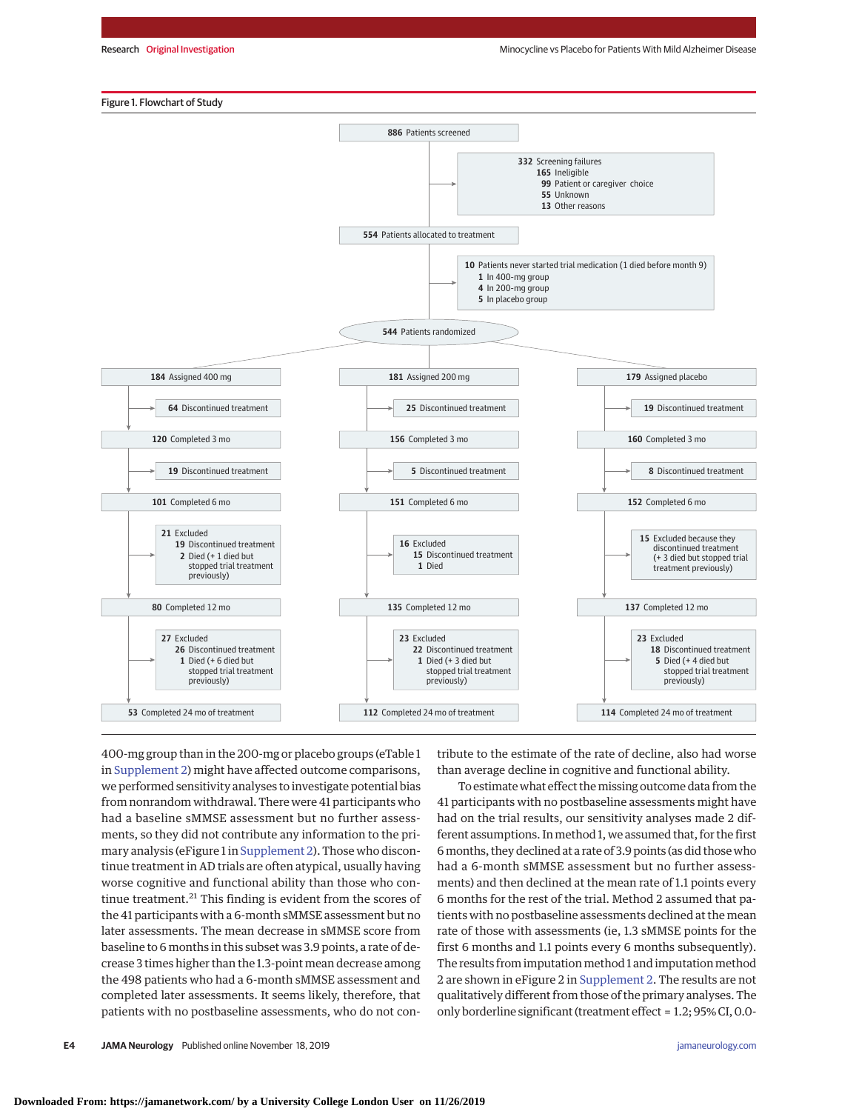#### Figure 1. Flowchart of Study



400-mg group than in the 200-mg or placebo groups (eTable 1 in [Supplement 2\)](https://jamanetwork.com/journals/jama/fullarticle/10.1001/jamaneurol.2019.3762?utm_campaign=articlePDF%26utm_medium=articlePDFlink%26utm_source=articlePDF%26utm_content=jamaneurol.2019.3762) might have affected outcome comparisons, we performed sensitivity analyses to investigate potential bias from nonrandom withdrawal. There were 41 participants who had a baseline sMMSE assessment but no further assessments, so they did not contribute any information to the primary analysis (eFigure 1 in [Supplement 2\)](https://jamanetwork.com/journals/jama/fullarticle/10.1001/jamaneurol.2019.3762?utm_campaign=articlePDF%26utm_medium=articlePDFlink%26utm_source=articlePDF%26utm_content=jamaneurol.2019.3762). Those who discontinue treatment in AD trials are often atypical, usually having worse cognitive and functional ability than those who continue treatment.<sup>21</sup> This finding is evident from the scores of the 41 participants with a 6-month sMMSE assessment but no later assessments. The mean decrease in sMMSE score from baseline to 6 months in this subset was 3.9 points, a rate of decrease 3 times higher than the 1.3-point mean decrease among the 498 patients who had a 6-month sMMSE assessment and completed later assessments. It seems likely, therefore, that patients with no postbaseline assessments, who do not contribute to the estimate of the rate of decline, also had worse than average decline in cognitive and functional ability.

To estimate what effect the missing outcome data from the 41 participants with no postbaseline assessments might have had on the trial results, our sensitivity analyses made 2 different assumptions. Inmethod 1, we assumed that, for the first 6months, they declined at a rate of 3.9 points (as did those who had a 6-month sMMSE assessment but no further assessments) and then declined at the mean rate of 1.1 points every 6 months for the rest of the trial. Method 2 assumed that patients with no postbaseline assessments declined at the mean rate of those with assessments (ie, 1.3 sMMSE points for the first 6 months and 1.1 points every 6 months subsequently). The results from imputation method 1 and imputation method 2 are shown in eFigure 2 in [Supplement 2.](https://jamanetwork.com/journals/jama/fullarticle/10.1001/jamaneurol.2019.3762?utm_campaign=articlePDF%26utm_medium=articlePDFlink%26utm_source=articlePDF%26utm_content=jamaneurol.2019.3762) The results are not qualitatively different from those of the primary analyses. The only borderline significant (treatment effect = 1.2; 95% CI, 0.0-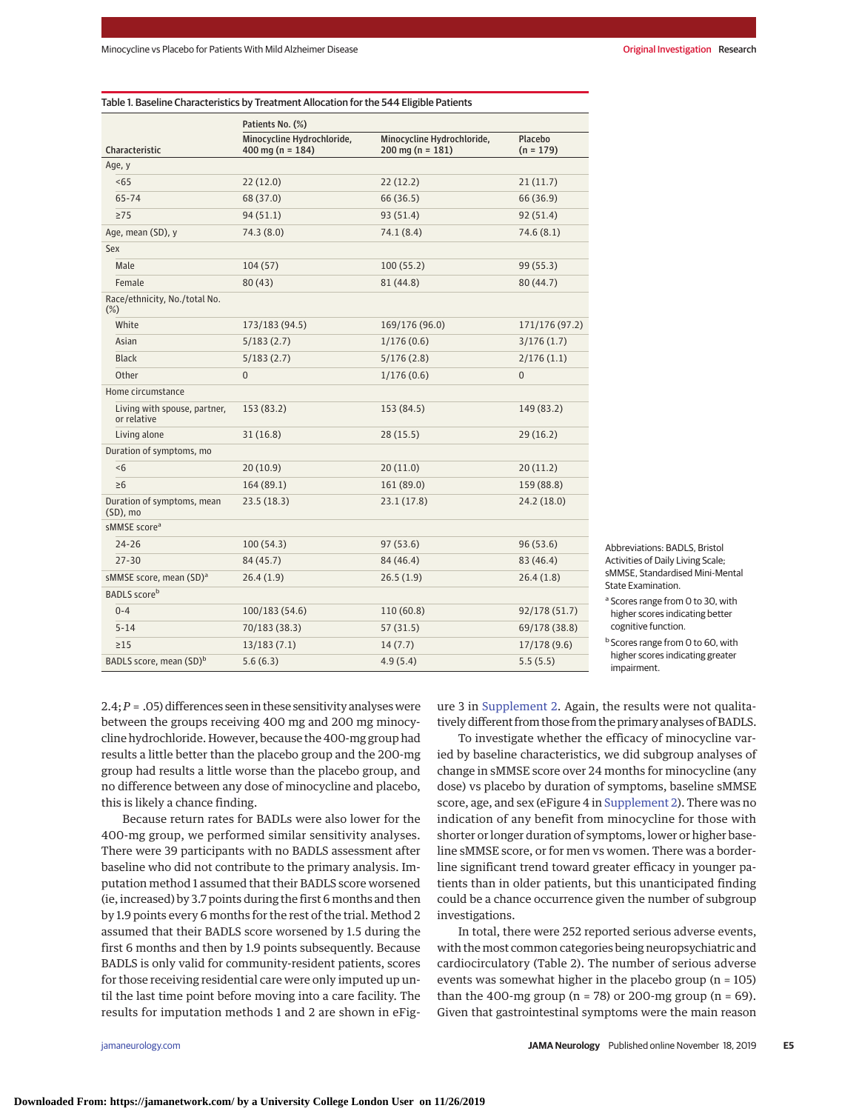|                                             | Patients No. (%)                                   |                                                          |                        |
|---------------------------------------------|----------------------------------------------------|----------------------------------------------------------|------------------------|
| Characteristic                              | Minocycline Hydrochloride,<br>400 mg ( $n = 184$ ) | Minocycline Hydrochloride,<br>$200 \text{ mg} (n = 181)$ | Placebo<br>$(n = 179)$ |
| Age, y                                      |                                                    |                                                          |                        |
| < 65                                        | 22 (12.0)                                          | 22(12.2)                                                 | 21(11.7)               |
| $65 - 74$                                   | 68 (37.0)                                          | 66 (36.5)                                                | 66 (36.9)              |
| $\geq$ 75                                   | 94(51.1)                                           | 93 (51.4)                                                | 92(51.4)               |
| Age, mean (SD), y                           | 74.3 (8.0)                                         | 74.1 (8.4)                                               | 74.6(8.1)              |
| Sex                                         |                                                    |                                                          |                        |
| Male                                        | 104(57)                                            | 100(55.2)                                                | 99(55.3)               |
| Female                                      | 80(43)                                             | 81 (44.8)                                                | 80 (44.7)              |
| Race/ethnicity, No./total No.<br>$(\%)$     |                                                    |                                                          |                        |
| White                                       | 173/183 (94.5)                                     | 169/176 (96.0)                                           | 171/176 (97.2)         |
| Asian                                       | 5/183(2.7)                                         | 1/176(0.6)                                               | 3/176(1.7)             |
| <b>Black</b>                                | 5/183(2.7)                                         | 5/176(2.8)                                               | 2/176(1.1)             |
| Other                                       | $\overline{0}$                                     | 1/176(0.6)                                               | $\overline{0}$         |
| Home circumstance                           |                                                    |                                                          |                        |
| Living with spouse, partner,<br>or relative | 153 (83.2)                                         | 153 (84.5)                                               | 149 (83.2)             |
| Living alone                                | 31(16.8)                                           | 28(15.5)                                                 | 29(16.2)               |
| Duration of symptoms, mo                    |                                                    |                                                          |                        |
| <6                                          | 20(10.9)                                           | 20(11.0)                                                 | 20(11.2)               |
| $\geq 6$                                    | 164 (89.1)                                         | 161 (89.0)                                               | 159 (88.8)             |
| Duration of symptoms, mean<br>$(SD)$ , mo   | 23.5(18.3)                                         | 23.1(17.8)                                               | 24.2 (18.0)            |
| sMMSE score <sup>a</sup>                    |                                                    |                                                          |                        |
| $24 - 26$                                   | 100(54.3)                                          | 97(53.6)                                                 | 96(53.6)               |
| $27 - 30$                                   | 84 (45.7)                                          | 84 (46.4)                                                | 83 (46.4)              |
| sMMSE score, mean (SD) <sup>a</sup>         | 26.4(1.9)                                          | 26.5(1.9)                                                | 26.4(1.8)              |
| <b>BADLS</b> score <sup>b</sup>             |                                                    |                                                          |                        |
| $0 - 4$                                     | 100/183 (54.6)                                     | 110 (60.8)                                               | 92/178 (51.7)          |
| $5 - 14$                                    | 70/183 (38.3)                                      | 57(31.5)                                                 | 69/178 (38.8)          |
| $\geq$ 15                                   | 13/183(7.1)                                        | 14(7.7)                                                  | 17/178(9.6)            |
| BADLS score, mean (SD) <sup>b</sup>         | 5.6(6.3)                                           | 4.9(5.4)                                                 | 5.5(5.5)               |

Abbreviations: BADLS, Bristol Activities of Daily Living Scale; sMMSE, Standardised Mini-Mental State Examination.

<sup>a</sup> Scores range from 0 to 30, with higher scores indicating better cognitive function.

**b** Scores range from 0 to 60, with higher scores indicating greater impairment.

2.4;*P* = .05) differences seen in these sensitivity analyses were between the groups receiving 400 mg and 200 mg minocycline hydrochloride. However, because the 400-mg group had results a little better than the placebo group and the 200-mg group had results a little worse than the placebo group, and no difference between any dose of minocycline and placebo, this is likely a chance finding.

Because return rates for BADLs were also lower for the 400-mg group, we performed similar sensitivity analyses. There were 39 participants with no BADLS assessment after baseline who did not contribute to the primary analysis. Imputation method 1 assumed that their BADLS score worsened (ie, increased) by 3.7 points during the first 6 months and then by 1.9 points every 6 months for the rest of the trial. Method 2 assumed that their BADLS score worsened by 1.5 during the first 6 months and then by 1.9 points subsequently. Because BADLS is only valid for community-resident patients, scores for those receiving residential care were only imputed up until the last time point before moving into a care facility. The results for imputation methods 1 and 2 are shown in eFigure 3 in [Supplement 2.](https://jamanetwork.com/journals/jama/fullarticle/10.1001/jamaneurol.2019.3762?utm_campaign=articlePDF%26utm_medium=articlePDFlink%26utm_source=articlePDF%26utm_content=jamaneurol.2019.3762) Again, the results were not qualitatively different from those from the primary analyses of BADLS.

To investigate whether the efficacy of minocycline varied by baseline characteristics, we did subgroup analyses of change in sMMSE score over 24 months for minocycline (any dose) vs placebo by duration of symptoms, baseline sMMSE score, age, and sex (eFigure 4 in [Supplement 2\)](https://jamanetwork.com/journals/jama/fullarticle/10.1001/jamaneurol.2019.3762?utm_campaign=articlePDF%26utm_medium=articlePDFlink%26utm_source=articlePDF%26utm_content=jamaneurol.2019.3762). There was no indication of any benefit from minocycline for those with shorter or longer duration of symptoms, lower or higher baseline sMMSE score, or for men vs women. There was a borderline significant trend toward greater efficacy in younger patients than in older patients, but this unanticipated finding could be a chance occurrence given the number of subgroup investigations.

In total, there were 252 reported serious adverse events, with the most common categories being neuropsychiatric and cardiocirculatory (Table 2). The number of serious adverse events was somewhat higher in the placebo group (n = 105) than the 400-mg group ( $n = 78$ ) or 200-mg group ( $n = 69$ ). Given that gastrointestinal symptoms were the main reason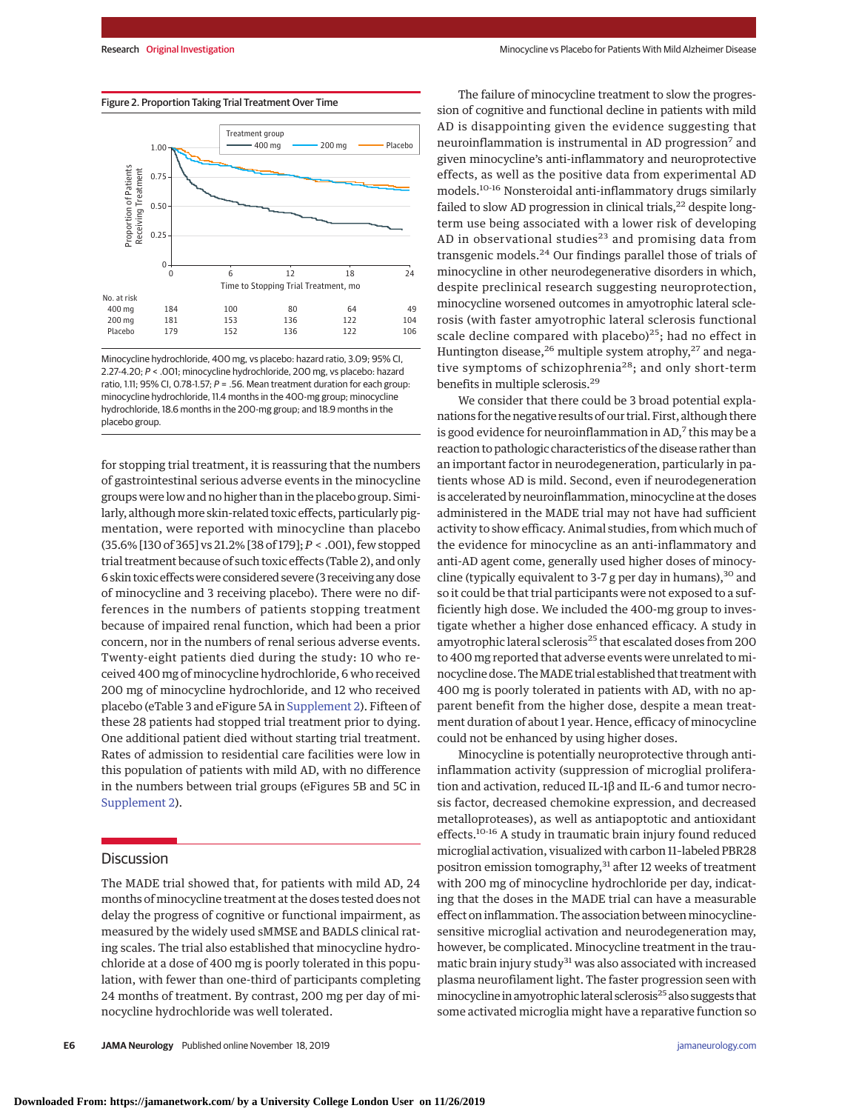

Minocycline hydrochloride, 400 mg, vs placebo: hazard ratio, 3.09; 95% CI, 2.27-4.20; P < .001; minocycline hydrochloride, 200 mg, vs placebo: hazard ratio, 1.11; 95% CI, 0.78-1.57;  $P = 0.56$ . Mean treatment duration for each group: minocycline hydrochloride, 11.4 months in the 400-mg group; minocycline hydrochloride, 18.6 months in the 200-mg group; and 18.9 months in the placebo group.

for stopping trial treatment, it is reassuring that the numbers of gastrointestinal serious adverse events in the minocycline groups were low and no higher than in the placebo group. Similarly, although more skin-related toxic effects, particularly pigmentation, were reported with minocycline than placebo (35.6% [130 of 365] vs 21.2% [38 of 179]; *P* < .001), few stopped trial treatment because of such toxic effects (Table 2), and only 6 skin toxic effectswere considered severe (3 receiving any dose of minocycline and 3 receiving placebo). There were no differences in the numbers of patients stopping treatment because of impaired renal function, which had been a prior concern, nor in the numbers of renal serious adverse events. Twenty-eight patients died during the study: 10 who received 400 mg of minocycline hydrochloride, 6 who received 200 mg of minocycline hydrochloride, and 12 who received placebo (eTable 3 and eFigure 5A in [Supplement 2\)](https://jamanetwork.com/journals/jama/fullarticle/10.1001/jamaneurol.2019.3762?utm_campaign=articlePDF%26utm_medium=articlePDFlink%26utm_source=articlePDF%26utm_content=jamaneurol.2019.3762). Fifteen of these 28 patients had stopped trial treatment prior to dying. One additional patient died without starting trial treatment. Rates of admission to residential care facilities were low in this population of patients with mild AD, with no difference in the numbers between trial groups (eFigures 5B and 5C in [Supplement 2\)](https://jamanetwork.com/journals/jama/fullarticle/10.1001/jamaneurol.2019.3762?utm_campaign=articlePDF%26utm_medium=articlePDFlink%26utm_source=articlePDF%26utm_content=jamaneurol.2019.3762).

## **Discussion**

The MADE trial showed that, for patients with mild AD, 24 months of minocycline treatment at the doses tested does not delay the progress of cognitive or functional impairment, as measured by the widely used sMMSE and BADLS clinical rating scales. The trial also established that minocycline hydrochloride at a dose of 400 mg is poorly tolerated in this population, with fewer than one-third of participants completing 24 months of treatment. By contrast, 200 mg per day of minocycline hydrochloride was well tolerated.

The failure of minocycline treatment to slow the progression of cognitive and functional decline in patients with mild AD is disappointing given the evidence suggesting that neuroinflammation is instrumental in AD progression<sup>7</sup> and given minocycline's anti-inflammatory and neuroprotective effects, as well as the positive data from experimental AD models.10-16 Nonsteroidal anti-inflammatory drugs similarly failed to slow AD progression in clinical trials,<sup>22</sup> despite longterm use being associated with a lower risk of developing AD in observational studies<sup>23</sup> and promising data from transgenic models.<sup>24</sup> Our findings parallel those of trials of minocycline in other neurodegenerative disorders in which, despite preclinical research suggesting neuroprotection, minocycline worsened outcomes in amyotrophic lateral sclerosis (with faster amyotrophic lateral sclerosis functional scale decline compared with placebo) $25$ ; had no effect in Huntington disease,<sup>26</sup> multiple system atrophy,<sup>27</sup> and negative symptoms of schizophrenia<sup>28</sup>; and only short-term benefits in multiple sclerosis.29

We consider that there could be 3 broad potential explanations for the negative results of our trial. First, although there is good evidence for neuroinflammation in  $AD$ ,<sup>7</sup> this may be a reaction to pathologic characteristics of the disease rather than an important factor in neurodegeneration, particularly in patients whose AD is mild. Second, even if neurodegeneration is accelerated by neuroinflammation, minocycline at the doses administered in the MADE trial may not have had sufficient activity to show efficacy. Animal studies, from which much of the evidence for minocycline as an anti-inflammatory and anti-AD agent come, generally used higher doses of minocycline (typically equivalent to 3-7 g per day in humans),  $30$  and so it could be that trial participants were not exposed to a sufficiently high dose. We included the 400-mg group to investigate whether a higher dose enhanced efficacy. A study in amyotrophic lateral sclerosis<sup>25</sup> that escalated doses from 200 to 400 mg reported that adverse events were unrelated to minocycline dose. TheMADE trial established that treatment with 400 mg is poorly tolerated in patients with AD, with no apparent benefit from the higher dose, despite a mean treatment duration of about 1 year. Hence, efficacy of minocycline could not be enhanced by using higher doses.

Minocycline is potentially neuroprotective through antiinflammation activity (suppression of microglial proliferation and activation, reduced IL-1β and IL-6 and tumor necrosis factor, decreased chemokine expression, and decreased metalloproteases), as well as antiapoptotic and antioxidant effects.<sup>10-16</sup> A study in traumatic brain injury found reduced microglial activation, visualized with carbon 11–labeled PBR28 positron emission tomography,<sup>31</sup> after 12 weeks of treatment with 200 mg of minocycline hydrochloride per day, indicating that the doses in the MADE trial can have a measurable effect on inflammation. The association between minocyclinesensitive microglial activation and neurodegeneration may, however, be complicated. Minocycline treatment in the traumatic brain injury study $31$  was also associated with increased plasma neurofilament light. The faster progression seen with minocycline in amyotrophic lateral sclerosis<sup>25</sup> also suggests that some activated microglia might have a reparative function so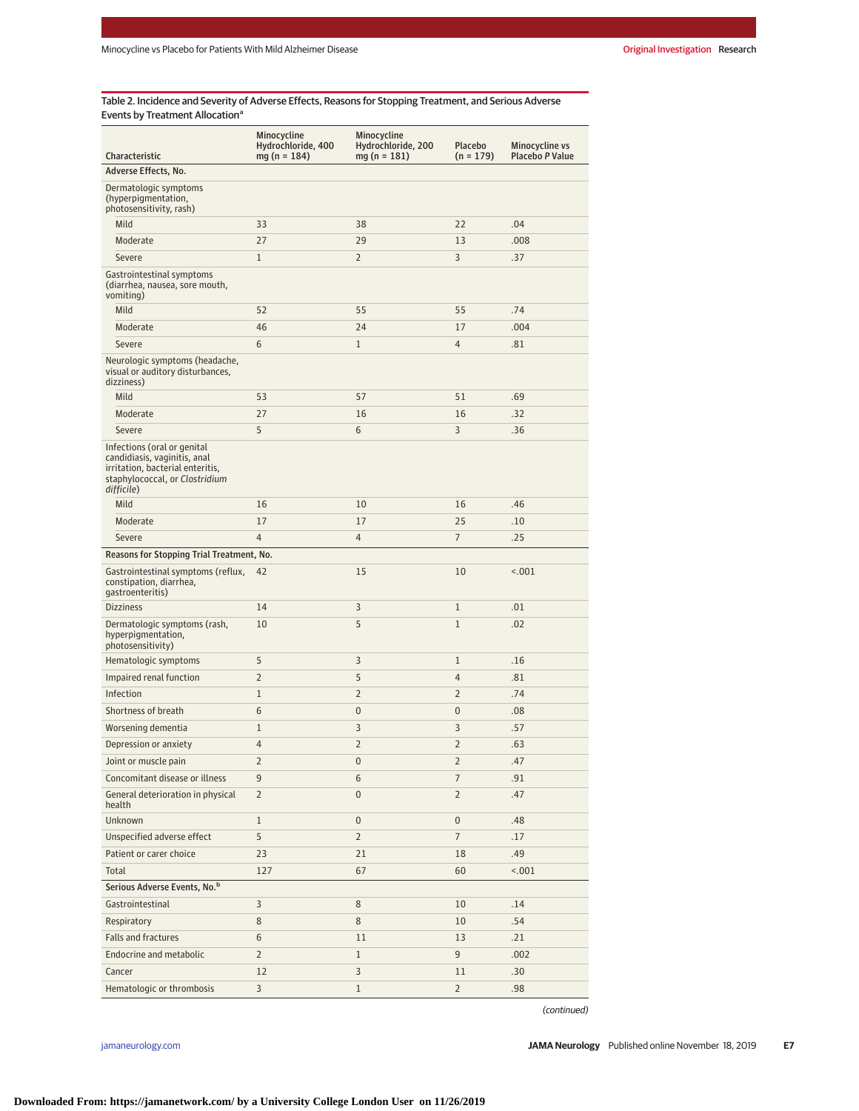Table 2. Incidence and Severity of Adverse Effects, Reasons for Stopping Treatment, and Serious Adverse Events by Treatment Allocation<sup>a</sup>

| Characteristic                                                                                                                                  | Minocycline<br>Hydrochloride, 400<br>$mg(n = 184)$ | Minocycline<br>Hydrochloride, 200<br>$mg(n = 181)$ | <b>Placebo</b><br>$(n = 179)$ | Minocycline vs<br>Placebo P Value |
|-------------------------------------------------------------------------------------------------------------------------------------------------|----------------------------------------------------|----------------------------------------------------|-------------------------------|-----------------------------------|
| Adverse Effects, No.                                                                                                                            |                                                    |                                                    |                               |                                   |
| Dermatologic symptoms<br>(hyperpigmentation,<br>photosensitivity, rash)                                                                         |                                                    |                                                    |                               |                                   |
| Mild                                                                                                                                            | 33                                                 | 38                                                 | 22                            | .04                               |
| Moderate                                                                                                                                        | 27                                                 | 29                                                 | 13                            | .008                              |
| Severe                                                                                                                                          | $\mathbf{1}$                                       | $\overline{2}$                                     | 3                             | .37                               |
| Gastrointestinal symptoms<br>(diarrhea, nausea, sore mouth,<br>vomiting)                                                                        |                                                    |                                                    |                               |                                   |
| Mild                                                                                                                                            | 52                                                 | 55                                                 | 55                            | .74                               |
| Moderate                                                                                                                                        | 46                                                 | 24                                                 | 17                            | .004                              |
| Severe                                                                                                                                          | 6                                                  | $\mathbf{1}$                                       | $\overline{4}$                | .81                               |
| Neurologic symptoms (headache,<br>visual or auditory disturbances,<br>dizziness)                                                                |                                                    |                                                    |                               |                                   |
| Mild                                                                                                                                            | 53                                                 | 57                                                 | 51                            | .69                               |
| Moderate                                                                                                                                        | 27                                                 | 16                                                 | 16                            | .32                               |
| Severe                                                                                                                                          | 5                                                  | 6                                                  | 3                             | .36                               |
| Infections (oral or genital<br>candidiasis, vaginitis, anal<br>irritation, bacterial enteritis,<br>staphylococcal, or Clostridium<br>difficile) |                                                    |                                                    |                               |                                   |
| Mild                                                                                                                                            | 16                                                 | 10                                                 | 16                            | .46                               |
| Moderate                                                                                                                                        | 17                                                 | 17                                                 | 25                            | .10                               |
| Severe                                                                                                                                          | $\overline{4}$                                     | $\overline{4}$                                     | $\overline{7}$                | .25                               |
| Reasons for Stopping Trial Treatment, No.                                                                                                       |                                                    |                                                    |                               |                                   |
| Gastrointestinal symptoms (reflux,<br>constipation, diarrhea,<br>gastroenteritis)                                                               | 42                                                 | 15                                                 | 10                            | < .001                            |
| <b>Dizziness</b>                                                                                                                                | 14                                                 | 3                                                  | 1                             | .01                               |
| Dermatologic symptoms (rash,<br>hyperpigmentation,<br>photosensitivity)                                                                         | 10                                                 | 5                                                  | $\mathbf{1}$                  | .02                               |
| Hematologic symptoms                                                                                                                            | 5                                                  | 3                                                  | $\mathbf{1}$                  | .16                               |
| Impaired renal function                                                                                                                         | $\overline{2}$                                     | 5                                                  | 4                             | .81                               |
| Infection                                                                                                                                       | $\mathbf{1}$                                       | $\overline{2}$                                     | $\overline{2}$                | .74                               |
| Shortness of breath                                                                                                                             | 6                                                  | $\overline{0}$                                     | $\pmb{0}$                     | .08                               |
| Worsening dementia                                                                                                                              | $\mathbf{1}$                                       | 3                                                  | 3                             | .57                               |
| Depression or anxiety                                                                                                                           | $\overline{4}$                                     | $\overline{2}$                                     | $\overline{2}$                | .63                               |
| Joint or muscle pain                                                                                                                            | $\overline{2}$                                     | 0                                                  | $\overline{2}$                | .47                               |
| Concomitant disease or illness                                                                                                                  | 9                                                  | 6                                                  | 7                             | .91                               |
| General deterioration in physical<br>health                                                                                                     | $\overline{2}$                                     | $\overline{0}$                                     | $\overline{2}$                | .47                               |
| Unknown                                                                                                                                         | $\mathbf{1}$                                       | $\overline{0}$                                     | 0                             | .48                               |
| Unspecified adverse effect                                                                                                                      | 5                                                  | $\overline{2}$                                     | 7                             | .17                               |
| Patient or carer choice                                                                                                                         | 23                                                 | 21                                                 | 18                            | .49                               |
| Total                                                                                                                                           | 127                                                | 67                                                 | 60                            | < .001                            |
| Serious Adverse Events, No. <sup>b</sup>                                                                                                        |                                                    |                                                    |                               |                                   |
| Gastrointestinal                                                                                                                                | 3                                                  | 8                                                  | 10                            | .14                               |
| Respiratory                                                                                                                                     | 8                                                  | 8                                                  | 10                            | .54                               |
| Falls and fractures                                                                                                                             | 6                                                  | 11                                                 | 13                            | .21                               |
| Endocrine and metabolic                                                                                                                         | $\overline{2}$                                     | $\mathbf{1}$                                       | 9                             | .002                              |
| Cancer                                                                                                                                          | 12                                                 | 3                                                  | 11                            | .30                               |
| Hematologic or thrombosis                                                                                                                       | $\overline{3}$                                     | $\mathbf{1}$                                       | $\overline{2}$                | .98                               |

(continued)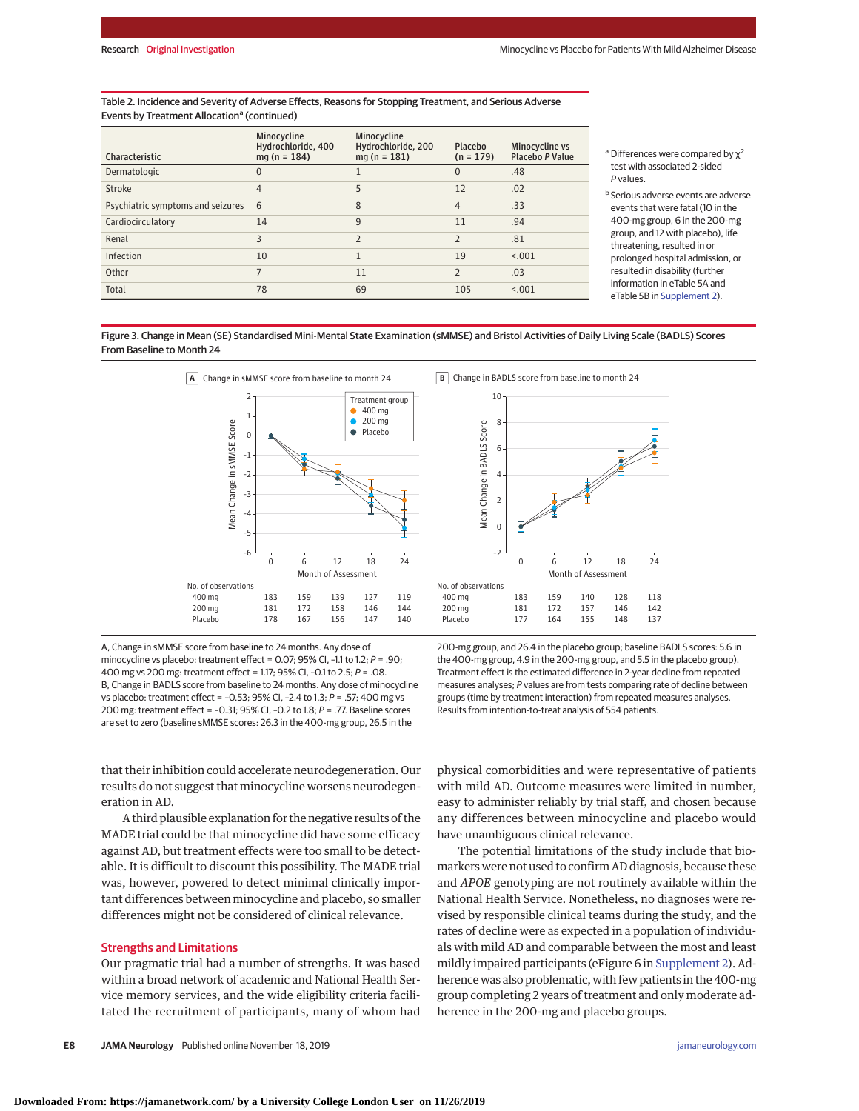#### Table 2. Incidence and Severity of Adverse Effects, Reasons for Stopping Treatment, and Serious Adverse Events by Treatment Allocation<sup>a</sup> (continued)

| Characteristic                    | Minocycline<br>Hydrochloride, 400<br>$mq(n = 184)$ | Minocycline<br>Hydrochloride, 200<br>$mq(n = 181)$ | Placebo<br>$(n = 179)$   | Minocycline vs<br>Placebo P Value |
|-----------------------------------|----------------------------------------------------|----------------------------------------------------|--------------------------|-----------------------------------|
| Dermatologic                      | $\Omega$                                           |                                                    | $\Omega$                 | .48                               |
| Stroke                            | $\overline{4}$                                     | 5                                                  | 12                       | .02                               |
| Psychiatric symptoms and seizures | 6                                                  | 8                                                  | $\overline{4}$           | .33                               |
| Cardiocirculatory                 | 14                                                 | 9                                                  | 11                       | .94                               |
| Renal                             | 3                                                  | $\overline{2}$                                     | $\overline{\phantom{a}}$ | .81                               |
| Infection                         | 10                                                 | $\mathbf{1}$                                       | 19                       | < 0.01                            |
| Other                             |                                                    | 11                                                 | $\overline{\phantom{a}}$ | .03                               |
| Total                             | 78                                                 | 69                                                 | 105                      | < .001                            |

<sup>a</sup> Differences were compared by  $χ²$ test with associated 2-sided P values.

<sup>b</sup> Serious adverse events are adverse events that were fatal (10 in the 400-mg group, 6 in the 200-mg group, and 12 with placebo), life threatening, resulted in or prolonged hospital admission, or resulted in disability (further information in eTable 5A and eTable 5B in [Supplement 2\)](https://jamanetwork.com/journals/jama/fullarticle/10.1001/jamaneurol.2019.3762?utm_campaign=articlePDF%26utm_medium=articlePDFlink%26utm_source=articlePDF%26utm_content=jamaneurol.2019.3762).

Figure 3. Change in Mean (SE) Standardised Mini-Mental State Examination (sMMSE) and Bristol Activities of Daily Living Scale (BADLS) Scores From Baseline to Month 24



A, Change in sMMSE score from baseline to 24 months. Any dose of minocycline vs placebo: treatment effect = 0.07; 95% CI, -1.1 to 1.2;  $P = .90$ ; 400 mg vs 200 mg: treatment effect = 1.17; 95% CI, –0.1 to 2.5; P = .08. B, Change in BADLS score from baseline to 24 months. Any dose of minocycline vs placebo: treatment effect =  $-0.53$ ; 95% CI,  $-2.4$  to 1.3; P = .57; 400 mg vs 200 mg: treatment effect = –0.31; 95% CI, –0.2 to 1.8; P = .77. Baseline scores are set to zero (baseline sMMSE scores: 26.3 in the 400-mg group, 26.5 in the

200-mg group, and 26.4 in the placebo group; baseline BADLS scores: 5.6 in the 400-mg group, 4.9 in the 200-mg group, and 5.5 in the placebo group). Treatment effect is the estimated difference in 2-year decline from repeated measures analyses; P values are from tests comparing rate of decline between groups (time by treatment interaction) from repeated measures analyses. Results from intention-to-treat analysis of 554 patients.

that their inhibition could accelerate neurodegeneration. Our results do not suggest that minocycline worsens neurodegeneration in AD.

A third plausible explanation for the negative results of the MADE trial could be that minocycline did have some efficacy against AD, but treatment effects were too small to be detectable. It is difficult to discount this possibility. The MADE trial was, however, powered to detect minimal clinically important differences between minocycline and placebo, so smaller differences might not be considered of clinical relevance.

## Strengths and Limitations

Our pragmatic trial had a number of strengths. It was based within a broad network of academic and National Health Service memory services, and the wide eligibility criteria facilitated the recruitment of participants, many of whom had

physical comorbidities and were representative of patients with mild AD. Outcome measures were limited in number, easy to administer reliably by trial staff, and chosen because any differences between minocycline and placebo would have unambiguous clinical relevance.

The potential limitations of the study include that biomarkers were not used to confirm AD diagnosis, because these and *APOE* genotyping are not routinely available within the National Health Service. Nonetheless, no diagnoses were revised by responsible clinical teams during the study, and the rates of decline were as expected in a population of individuals with mild AD and comparable between the most and least mildly impaired participants (eFigure 6 in [Supplement 2\)](https://jamanetwork.com/journals/jama/fullarticle/10.1001/jamaneurol.2019.3762?utm_campaign=articlePDF%26utm_medium=articlePDFlink%26utm_source=articlePDF%26utm_content=jamaneurol.2019.3762). Adherence was also problematic, with few patients in the 400-mg group completing 2 years of treatment and only moderate adherence in the 200-mg and placebo groups.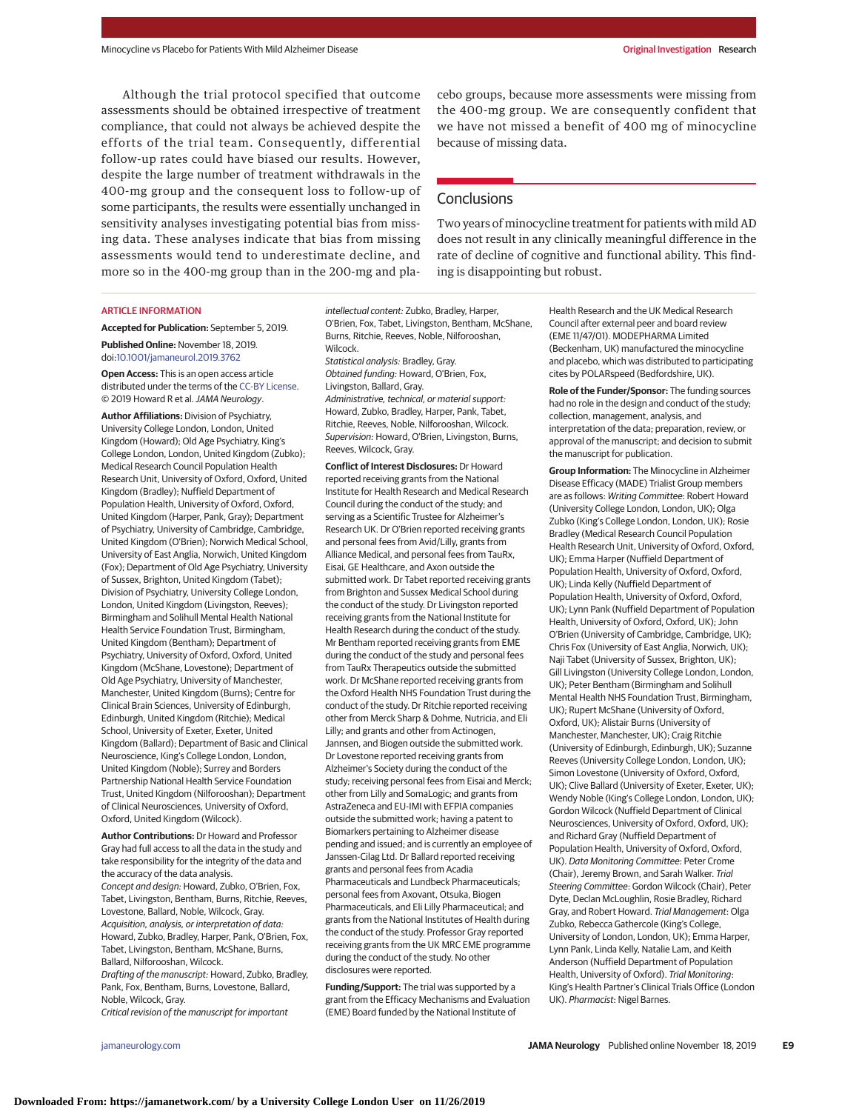Although the trial protocol specified that outcome assessments should be obtained irrespective of treatment compliance, that could not always be achieved despite the efforts of the trial team. Consequently, differential follow-up rates could have biased our results. However, despite the large number of treatment withdrawals in the 400-mg group and the consequent loss to follow-up of some participants, the results were essentially unchanged in sensitivity analyses investigating potential bias from missing data. These analyses indicate that bias from missing assessments would tend to underestimate decline, and more so in the 400-mg group than in the 200-mg and placebo groups, because more assessments were missing from the 400-mg group. We are consequently confident that we have not missed a benefit of 400 mg of minocycline because of missing data.

## **Conclusions**

Two years of minocycline treatment for patients with mild AD does not result in any clinically meaningful difference in the rate of decline of cognitive and functional ability. This finding is disappointing but robust.

#### ARTICLE INFORMATION

**Accepted for Publication:** September 5, 2019. **Published Online:** November 18, 2019. doi[:10.1001/jamaneurol.2019.3762](https://jamanetwork.com/journals/jama/fullarticle/10.1001/jamaneurol.2019.3762?utm_campaign=articlePDF%26utm_medium=articlePDFlink%26utm_source=articlePDF%26utm_content=jamaneurol.2019.3762)

**Open Access:** This is an open access article distributed under the terms of the [CC-BY License.](https://jamanetwork.com/journals/jamaneurology/pages/instructions-for-authors?utm_campaign=articlePDF%26utm_medium=articlePDFlink%26utm_source=articlePDF%26utm_content=jamaneurol.2019.3762#SecOpenAccess) © 2019 Howard R et al.JAMA Neurology.

**Author Affiliations:** Division of Psychiatry, University College London, London, United Kingdom (Howard); Old Age Psychiatry, King's College London, London, United Kingdom (Zubko); Medical Research Council Population Health Research Unit, University of Oxford, Oxford, United Kingdom (Bradley); Nuffield Department of Population Health, University of Oxford, Oxford, United Kingdom (Harper, Pank, Gray); Department of Psychiatry, University of Cambridge, Cambridge, United Kingdom (O'Brien); Norwich Medical School, University of East Anglia, Norwich, United Kingdom (Fox); Department of Old Age Psychiatry, University of Sussex, Brighton, United Kingdom (Tabet); Division of Psychiatry, University College London, London, United Kingdom (Livingston, Reeves); Birmingham and Solihull Mental Health National Health Service Foundation Trust, Birmingham, United Kingdom (Bentham); Department of Psychiatry, University of Oxford, Oxford, United Kingdom (McShane, Lovestone); Department of Old Age Psychiatry, University of Manchester, Manchester, United Kingdom (Burns); Centre for Clinical Brain Sciences, University of Edinburgh, Edinburgh, United Kingdom (Ritchie); Medical School, University of Exeter, Exeter, United Kingdom (Ballard); Department of Basic and Clinical Neuroscience, King's College London, London, United Kingdom (Noble); Surrey and Borders Partnership National Health Service Foundation Trust, United Kingdom (Nilforooshan); Department of Clinical Neurosciences, University of Oxford, Oxford, United Kingdom (Wilcock).

**Author Contributions:** Dr Howard and Professor Gray had full access to all the data in the study and take responsibility for the integrity of the data and the accuracy of the data analysis. Concept and design: Howard, Zubko, O'Brien, Fox, Tabet, Livingston, Bentham, Burns, Ritchie, Reeves, Lovestone, Ballard, Noble, Wilcock, Gray. Acquisition, analysis, or interpretation of data: Howard, Zubko, Bradley, Harper, Pank, O'Brien, Fox, Tabet, Livingston, Bentham, McShane, Burns, Ballard, Nilforooshan, Wilcock. Drafting of the manuscript: Howard, Zubko, Bradley,

Pank, Fox, Bentham, Burns, Lovestone, Ballard, Noble, Wilcock, Gray.

Critical revision of the manuscript for important

intellectual content: Zubko, Bradley, Harper, O'Brien, Fox, Tabet, Livingston, Bentham, McShane, Burns, Ritchie, Reeves, Noble, Nilforooshan, Wilcock.

Statistical analysis: Bradley, Gray. Obtained funding: Howard, O'Brien, Fox, Livingston, Ballard, Gray. Administrative, technical, or material support: Howard, Zubko, Bradley, Harper, Pank, Tabet, Ritchie, Reeves, Noble, Nilforooshan, Wilcock. Supervision: Howard, O'Brien, Livingston, Burns, Reeves, Wilcock, Gray.

**Conflict of Interest Disclosures:** Dr Howard reported receiving grants from the National Institute for Health Research and Medical Research Council during the conduct of the study; and serving as a Scientific Trustee for Alzheimer's Research UK. Dr O'Brien reported receiving grants and personal fees from Avid/Lilly, grants from Alliance Medical, and personal fees from TauRx, Eisai, GE Healthcare, and Axon outside the submitted work. Dr Tabet reported receiving grants from Brighton and Sussex Medical School during the conduct of the study. Dr Livingston reported receiving grants from the National Institute for Health Research during the conduct of the study. Mr Bentham reported receiving grants from EME during the conduct of the study and personal fees from TauRx Therapeutics outside the submitted work. Dr McShane reported receiving grants from the Oxford Health NHS Foundation Trust during the conduct of the study. Dr Ritchie reported receiving other from Merck Sharp & Dohme, Nutricia, and Eli Lilly; and grants and other from Actinogen, Jannsen, and Biogen outside the submitted work. Dr Lovestone reported receiving grants from Alzheimer's Society during the conduct of the study; receiving personal fees from Eisai and Merck; other from Lilly and SomaLogic; and grants from AstraZeneca and EU-IMI with EFPIA companies outside the submitted work; having a patent to Biomarkers pertaining to Alzheimer disease pending and issued; and is currently an employee of Janssen-Cilag Ltd. Dr Ballard reported receiving grants and personal fees from Acadia Pharmaceuticals and Lundbeck Pharmaceuticals; personal fees from Axovant, Otsuka, Biogen Pharmaceuticals, and Eli Lilly Pharmaceutical; and grants from the National Institutes of Health during the conduct of the study. Professor Gray reported receiving grants from the UK MRC EME programme during the conduct of the study. No other disclosures were reported.

**Funding/Support:** The trial was supported by a grant from the Efficacy Mechanisms and Evaluation (EME) Board funded by the National Institute of

Health Research and the UK Medical Research Council after external peer and board review (EME 11/47/01). MODEPHARMA Limited (Beckenham, UK) manufactured the minocycline and placebo, which was distributed to participating cites by POLARspeed (Bedfordshire, UK).

**Role of the Funder/Sponsor:** The funding sources had no role in the design and conduct of the study; collection, management, analysis, and interpretation of the data; preparation, review, or approval of the manuscript; and decision to submit the manuscript for publication.

**Group Information:** The Minocycline in Alzheimer Disease Efficacy (MADE) Trialist Group members are as follows: Writing Committee: Robert Howard (University College London, London, UK); Olga Zubko (King's College London, London, UK); Rosie Bradley (Medical Research Council Population Health Research Unit, University of Oxford, Oxford, UK); Emma Harper (Nuffield Department of Population Health, University of Oxford, Oxford, UK); Linda Kelly (Nuffield Department of Population Health, University of Oxford, Oxford, UK); Lynn Pank (Nuffield Department of Population Health, University of Oxford, Oxford, UK); John O'Brien (University of Cambridge, Cambridge, UK); Chris Fox (University of East Anglia, Norwich, UK); Naji Tabet (University of Sussex, Brighton, UK); Gill Livingston (University College London, London, UK); Peter Bentham (Birmingham and Solihull Mental Health NHS Foundation Trust, Birmingham, UK); Rupert McShane (University of Oxford, Oxford, UK); Alistair Burns (University of Manchester, Manchester, UK); Craig Ritchie (University of Edinburgh, Edinburgh, UK); Suzanne Reeves (University College London, London, UK); Simon Lovestone (University of Oxford, Oxford, UK); Clive Ballard (University of Exeter, Exeter, UK); Wendy Noble (King's College London, London, UK); Gordon Wilcock (Nuffield Department of Clinical Neurosciences, University of Oxford, Oxford, UK); and Richard Gray (Nuffield Department of Population Health, University of Oxford, Oxford, UK). Data Monitoring Committee: Peter Crome (Chair), Jeremy Brown, and Sarah Walker. Trial Steering Committee: Gordon Wilcock (Chair), Peter Dyte, Declan McLoughlin, Rosie Bradley, Richard Gray, and Robert Howard. Trial Management: Olga Zubko, Rebecca Gathercole (King's College, University of London, London, UK); Emma Harper, Lynn Pank, Linda Kelly, Natalie Lam, and Keith Anderson (Nuffield Department of Population Health, University of Oxford). Trial Monitoring: King's Health Partner's Clinical Trials Office (London UK). Pharmacist: Nigel Barnes.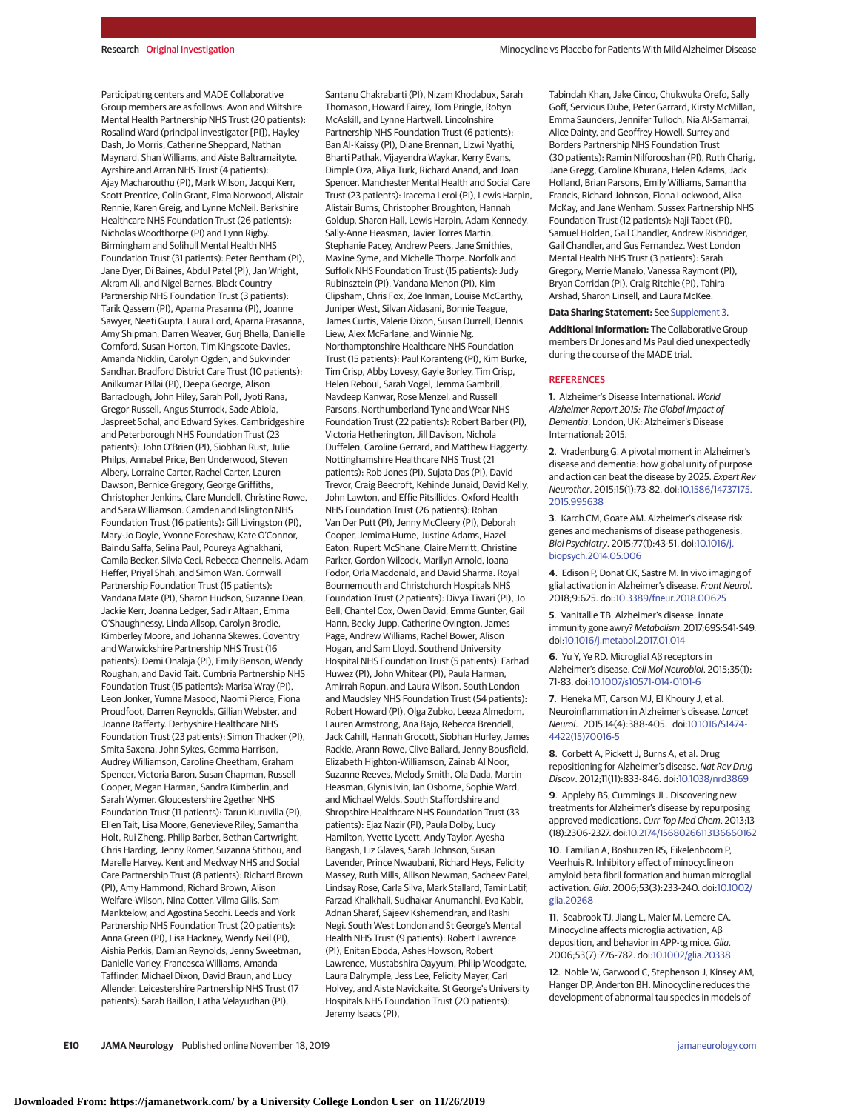Participating centers and MADE Collaborative Group members are as follows: Avon and Wiltshire Mental Health Partnership NHS Trust (20 patients): Rosalind Ward (principal investigator [PI]), Hayley Dash, Jo Morris, Catherine Sheppard, Nathan Maynard, Shan Williams, and Aiste Baltramaityte. Ayrshire and Arran NHS Trust (4 patients): Ajay Macharouthu (PI), Mark Wilson, Jacqui Kerr, Scott Prentice, Colin Grant, Elma Norwood, Alistair Rennie, Karen Greig, and Lynne McNeil. Berkshire Healthcare NHS Foundation Trust (26 patients): Nicholas Woodthorpe (PI) and Lynn Rigby. Birmingham and Solihull Mental Health NHS Foundation Trust (31 patients): Peter Bentham (PI), Jane Dyer, Di Baines, Abdul Patel (PI), Jan Wright, Akram Ali, and Nigel Barnes. Black Country Partnership NHS Foundation Trust (3 patients): Tarik Qassem (PI), Aparna Prasanna (PI), Joanne Sawyer, Neeti Gupta, Laura Lord, Aparna Prasanna, Amy Shipman, Darren Weaver, Gurj Bhella, Danielle Cornford, Susan Horton, Tim Kingscote-Davies, Amanda Nicklin, Carolyn Ogden, and Sukvinder Sandhar. Bradford District Care Trust (10 patients): Anilkumar Pillai (PI), Deepa George, Alison Barraclough, John Hiley, Sarah Poll, Jyoti Rana, Gregor Russell, Angus Sturrock, Sade Abiola, Jaspreet Sohal, and Edward Sykes. Cambridgeshire and Peterborough NHS Foundation Trust (23 patients): John O'Brien (PI), Siobhan Rust, Julie Philps, Annabel Price, Ben Underwood, Steven Albery, Lorraine Carter, Rachel Carter, Lauren Dawson, Bernice Gregory, George Griffiths, Christopher Jenkins, Clare Mundell, Christine Rowe, and Sara Williamson. Camden and Islington NHS Foundation Trust (16 patients): Gill Livingston (PI), Mary-Jo Doyle, Yvonne Foreshaw, Kate O'Connor, Baindu Saffa, Selina Paul, Poureya Aghakhani, Camila Becker, Silvia Ceci, Rebecca Chennells, Adam Heffer, Priyal Shah, and Simon Wan. Cornwall Partnership Foundation Trust (15 patients): Vandana Mate (PI), Sharon Hudson, Suzanne Dean, Jackie Kerr, Joanna Ledger, Sadir Altaan, Emma O'Shaughnessy, Linda Allsop, Carolyn Brodie, Kimberley Moore, and Johanna Skewes. Coventry and Warwickshire Partnership NHS Trust (16 patients): Demi Onalaja (PI), Emily Benson, Wendy Roughan, and David Tait. Cumbria Partnership NHS Foundation Trust (15 patients): Marisa Wray (PI), Leon Jonker, Yumna Masood, Naomi Pierce, Fiona Proudfoot, Darren Reynolds, Gillian Webster, and Joanne Rafferty. Derbyshire Healthcare NHS Foundation Trust (23 patients): Simon Thacker (PI), Smita Saxena, John Sykes, Gemma Harrison, Audrey Williamson, Caroline Cheetham, Graham Spencer, Victoria Baron, Susan Chapman, Russell Cooper, Megan Harman, Sandra Kimberlin, and Sarah Wymer. Gloucestershire 2gether NHS Foundation Trust (11 patients): Tarun Kuruvilla (PI), Ellen Tait, Lisa Moore, Genevieve Riley, Samantha Holt, Rui Zheng, Philip Barber, Bethan Cartwright, Chris Harding, Jenny Romer, Suzanna Stithou, and Marelle Harvey. Kent and Medway NHS and Social Care Partnership Trust (8 patients): Richard Brown (PI), Amy Hammond, Richard Brown, Alison Welfare-Wilson, Nina Cotter, Vilma Gilis, Sam Manktelow, and Agostina Secchi. Leeds and York Partnership NHS Foundation Trust (20 patients): Anna Green (PI), Lisa Hackney, Wendy Neil (PI), Aishia Perkis, Damian Reynolds, Jenny Sweetman, Danielle Varley, Francesca Williams, Amanda Taffinder, Michael Dixon, David Braun, and Lucy Allender. Leicestershire Partnership NHS Trust (17 patients): Sarah Baillon, Latha Velayudhan (PI),

Santanu Chakrabarti (PI), Nizam Khodabux, Sarah Thomason, Howard Fairey, Tom Pringle, Robyn McAskill, and Lynne Hartwell. Lincolnshire Partnership NHS Foundation Trust (6 patients): Ban Al-Kaissy (PI), Diane Brennan, Lizwi Nyathi, Bharti Pathak, Vijayendra Waykar, Kerry Evans, Dimple Oza, Aliya Turk, Richard Anand, and Joan Spencer. Manchester Mental Health and Social Care Trust (23 patients): Iracema Leroi (PI), Lewis Harpin, Alistair Burns, Christopher Broughton, Hannah Goldup, Sharon Hall, Lewis Harpin, Adam Kennedy, Sally-Anne Heasman, Javier Torres Martin, Stephanie Pacey, Andrew Peers, Jane Smithies, Maxine Syme, and Michelle Thorpe. Norfolk and Suffolk NHS Foundation Trust (15 patients): Judy Rubinsztein (PI), Vandana Menon (PI), Kim Clipsham, Chris Fox, Zoe Inman, Louise McCarthy, Juniper West, Silvan Aidasani, Bonnie Teague, James Curtis, Valerie Dixon, Susan Durrell, Dennis Liew, Alex McFarlane, and Winnie Ng. Northamptonshire Healthcare NHS Foundation Trust (15 patients): Paul Koranteng (PI), Kim Burke, Tim Crisp, Abby Lovesy, Gayle Borley, Tim Crisp, Helen Reboul, Sarah Vogel, Jemma Gambrill, Navdeep Kanwar, Rose Menzel, and Russell Parsons. Northumberland Tyne and Wear NHS Foundation Trust (22 patients): Robert Barber (PI), Victoria Hetherington, Jill Davison, Nichola Duffelen, Caroline Gerrard, and Matthew Haggerty. Nottinghamshire Healthcare NHS Trust (21 patients): Rob Jones (PI), Sujata Das (PI), David Trevor, Craig Beecroft, Kehinde Junaid, David Kelly, John Lawton, and Effie Pitsillides. Oxford Health NHS Foundation Trust (26 patients): Rohan Van Der Putt (PI), Jenny McCleery (PI), Deborah Cooper, Jemima Hume, Justine Adams, Hazel Eaton, Rupert McShane, Claire Merritt, Christine Parker, Gordon Wilcock, Marilyn Arnold, Ioana Fodor, Orla Macdonald, and David Sharma. Royal Bournemouth and Christchurch Hospitals NHS Foundation Trust (2 patients): Divya Tiwari (PI), Jo Bell, Chantel Cox, Owen David, Emma Gunter, Gail Hann, Becky Jupp, Catherine Ovington, James Page, Andrew Williams, Rachel Bower, Alison Hogan, and Sam Lloyd. Southend University Hospital NHS Foundation Trust (5 patients): Farhad Huwez (PI), John Whitear (PI), Paula Harman, Amirrah Ropun, and Laura Wilson. South London and Maudsley NHS Foundation Trust (54 patients): Robert Howard (PI), Olga Zubko, Leeza Almedom, Lauren Armstrong, Ana Bajo, Rebecca Brendell, Jack Cahill, Hannah Grocott, Siobhan Hurley, James Rackie, Arann Rowe, Clive Ballard, Jenny Bousfield, Elizabeth Highton-Williamson, Zainab Al Noor, Suzanne Reeves, Melody Smith, Ola Dada, Martin Heasman, Glynis Ivin, Ian Osborne, Sophie Ward, and Michael Welds. South Staffordshire and Shropshire Healthcare NHS Foundation Trust (33 patients): Ejaz Nazir (PI), Paula Dolby, Lucy Hamilton, Yvette Lycett, Andy Taylor, Ayesha Bangash, Liz Glaves, Sarah Johnson, Susan Lavender, Prince Nwaubani, Richard Heys, Felicity Massey, Ruth Mills, Allison Newman, Sacheev Patel, Lindsay Rose, Carla Silva, Mark Stallard, Tamir Latif, Farzad Khalkhali, Sudhakar Anumanchi, Eva Kabir, Adnan Sharaf, Sajeev Kshemendran, and Rashi Negi. South West London and St George's Mental Health NHS Trust (9 patients): Robert Lawrence (PI), Enitan Eboda, Ashes Howson, Robert Lawrence, Mustabshira Qayyum, Philip Woodgate, Laura Dalrymple, Jess Lee, Felicity Mayer, Carl Holvey, and Aiste Navickaite. St George's University Hospitals NHS Foundation Trust (20 patients): Jeremy Isaacs (PI),

Tabindah Khan, Jake Cinco, Chukwuka Orefo, Sally Goff, Servious Dube, Peter Garrard, Kirsty McMillan, Emma Saunders, Jennifer Tulloch, Nia Al-Samarrai, Alice Dainty, and Geoffrey Howell. Surrey and Borders Partnership NHS Foundation Trust (30 patients): Ramin Nilforooshan (PI), Ruth Charig, Jane Gregg, Caroline Khurana, Helen Adams, Jack Holland, Brian Parsons, Emily Williams, Samantha Francis, Richard Johnson, Fiona Lockwood, Ailsa McKay, and Jane Wenham. Sussex Partnership NHS Foundation Trust (12 patients): Naji Tabet (PI), Samuel Holden, Gail Chandler, Andrew Risbridger, Gail Chandler, and Gus Fernandez. West London Mental Health NHS Trust (3 patients): Sarah Gregory, Merrie Manalo, Vanessa Raymont (PI), Bryan Corridan (PI), Craig Ritchie (PI), Tahira Arshad, Sharon Linsell, and Laura McKee.

#### **Data Sharing Statement:** See [Supplement 3.](https://jamanetwork.com/journals/jama/fullarticle/10.1001/jamaneurol.2019.3762?utm_campaign=articlePDF%26utm_medium=articlePDFlink%26utm_source=articlePDF%26utm_content=jamaneurol.2019.3762)

**Additional Information:** The Collaborative Group members Dr Jones and Ms Paul died unexpectedly during the course of the MADE trial.

#### **REFERENCES**

**1**. Alzheimer's Disease International. World Alzheimer Report 2015: The Global Impact of Dementia. London, UK: Alzheimer's Disease International; 2015.

**2**. Vradenburg G. A pivotal moment in Alzheimer's disease and dementia: how global unity of purpose and action can beat the disease by 2025. Expert Rev Neurother. 2015;15(1):73-82. doi[:10.1586/14737175.](https://dx.doi.org/10.1586/14737175.2015.995638) [2015.995638](https://dx.doi.org/10.1586/14737175.2015.995638)

**3**. Karch CM, Goate AM. Alzheimer's disease risk genes and mechanisms of disease pathogenesis. Biol Psychiatry. 2015;77(1):43-51. doi[:10.1016/j.](https://dx.doi.org/10.1016/j.biopsych.2014.05.006) [biopsych.2014.05.006](https://dx.doi.org/10.1016/j.biopsych.2014.05.006)

**4**. Edison P, Donat CK, Sastre M. In vivo imaging of glial activation in Alzheimer's disease. Front Neurol. 2018;9:625. doi[:10.3389/fneur.2018.00625](https://dx.doi.org/10.3389/fneur.2018.00625)

**5**. VanItallie TB. Alzheimer's disease: innate immunity gone awry? Metabolism. 2017;69S:S41-S49. doi[:10.1016/j.metabol.2017.01.014](https://dx.doi.org/10.1016/j.metabol.2017.01.014)

**6**. Yu Y, Ye RD. Microglial Aβ receptors in Alzheimer's disease. Cell Mol Neurobiol. 2015;35(1): 71-83. doi[:10.1007/s10571-014-0101-6](https://dx.doi.org/10.1007/s10571-014-0101-6)

**7**. Heneka MT, Carson MJ, El Khoury J, et al. Neuroinflammation in Alzheimer's disease. Lancet Neurol. 2015;14(4):388-405. doi[:10.1016/S1474-](https://dx.doi.org/10.1016/S1474-4422(15)70016-5) [4422\(15\)70016-5](https://dx.doi.org/10.1016/S1474-4422(15)70016-5)

**8**. Corbett A, Pickett J, Burns A, et al. Drug repositioning for Alzheimer's disease. Nat Rev Drug Discov. 2012;11(11):833-846. doi[:10.1038/nrd3869](https://dx.doi.org/10.1038/nrd3869)

**9**. Appleby BS, Cummings JL. Discovering new treatments for Alzheimer's disease by repurposing approved medications. Curr Top Med Chem. 2013;13 (18):2306-2327. doi[:10.2174/15680266113136660162](https://dx.doi.org/10.2174/15680266113136660162)

**10**. Familian A, Boshuizen RS, Eikelenboom P, Veerhuis R. Inhibitory effect of minocycline on amyloid beta fibril formation and human microglial activation. Glia. 2006;53(3):233-240. doi[:10.1002/](https://dx.doi.org/10.1002/glia.20268) [glia.20268](https://dx.doi.org/10.1002/glia.20268)

**11**. Seabrook TJ, Jiang L, Maier M, Lemere CA. Minocycline affects microglia activation, Aβ deposition, and behavior in APP-tg mice. Glia. 2006;53(7):776-782. doi[:10.1002/glia.20338](https://dx.doi.org/10.1002/glia.20338)

**12**. Noble W, Garwood C, Stephenson J, Kinsey AM, Hanger DP, Anderton BH. Minocycline reduces the development of abnormal tau species in models of